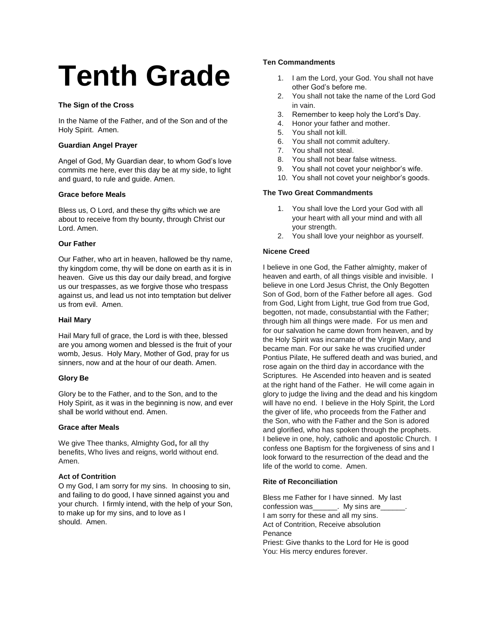# **Tenth Grade**

## **The Sign of the Cross**

In the Name of the Father, and of the Son and of the Holy Spirit. Amen.

## **Guardian Angel Prayer**

Angel of God, My Guardian dear, to whom God's love commits me here, ever this day be at my side, to light and guard, to rule and guide. Amen.

## **Grace before Meals**

Bless us, O Lord, and these thy gifts which we are about to receive from thy bounty, through Christ our Lord. Amen.

## **Our Father**

Our Father, who art in heaven, hallowed be thy name, thy kingdom come, thy will be done on earth as it is in heaven. Give us this day our daily bread, and forgive us our trespasses, as we forgive those who trespass against us, and lead us not into temptation but deliver us from evil. Amen.

## **Hail Mary**

Hail Mary full of grace, the Lord is with thee, blessed are you among women and blessed is the fruit of your womb, Jesus. Holy Mary, Mother of God, pray for us sinners, now and at the hour of our death. Amen.

## **Glory Be**

Glory be to the Father, and to the Son, and to the Holy Spirit, as it was in the beginning is now, and ever shall be world without end. Amen.

## **Grace after Meals**

We give Thee thanks, Almighty God**,** for all thy benefits, Who lives and reigns, world without end. Amen.

## **Act of Contrition**

O my God, I am sorry for my sins. In choosing to sin, and failing to do good, I have sinned against you and your church. I firmly intend, with the help of your Son, to make up for my sins, and to love as I should. Amen.

## **Ten Commandments**

- 1. I am the Lord, your God. You shall not have other God's before me.
- 2. You shall not take the name of the Lord God in vain.
- 3. Remember to keep holy the Lord's Day.
- 4. Honor your father and mother.
- 5. You shall not kill.
- 6. You shall not commit adultery.
- 7. You shall not steal.
- 8. You shall not bear false witness.
- 9. You shall not covet your neighbor's wife.
- 10. You shall not covet your neighbor's goods.

## **The Two Great Commandments**

- 1. You shall love the Lord your God with all your heart with all your mind and with all your strength.
- 2. You shall love your neighbor as yourself.

## **Nicene Creed**

I believe in one God, the Father almighty, maker of heaven and earth, of all things visible and invisible. I believe in one Lord Jesus Christ, the Only Begotten Son of God, born of the Father before all ages. God from God, Light from Light, true God from true God, begotten, not made, consubstantial with the Father; through him all things were made. For us men and for our salvation he came down from heaven, and by the Holy Spirit was incarnate of the Virgin Mary, and became man. For our sake he was crucified under Pontius Pilate, He suffered death and was buried, and rose again on the third day in accordance with the Scriptures. He Ascended into heaven and is seated at the right hand of the Father. He will come again in glory to judge the living and the dead and his kingdom will have no end. I believe in the Holy Spirit, the Lord the giver of life, who proceeds from the Father and the Son, who with the Father and the Son is adored and glorified, who has spoken through the prophets. I believe in one, holy, catholic and apostolic Church. I confess one Baptism for the forgiveness of sins and I look forward to the resurrection of the dead and the life of the world to come. Amen.

## **Rite of Reconciliation**

Bless me Father for I have sinned. My last confession was The My sins are I am sorry for these and all my sins. Act of Contrition, Receive absolution Penance Priest: Give thanks to the Lord for He is good You: His mercy endures forever.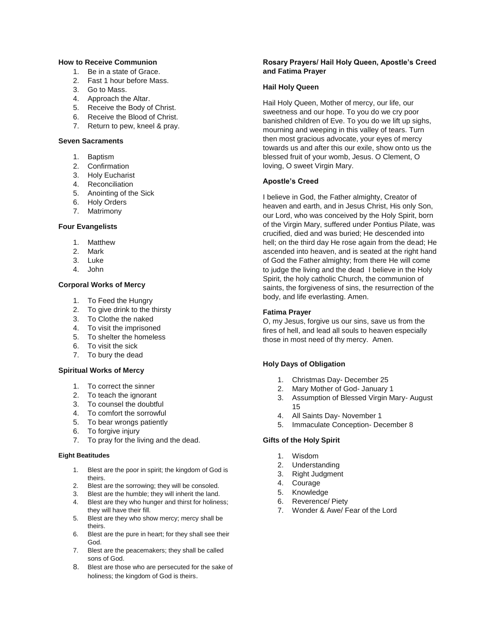## **How to Receive Communion**

- 1. Be in a state of Grace.
- 2. Fast 1 hour before Mass.
- 3. Go to Mass.
- 4. Approach the Altar.
- 5. Receive the Body of Christ.
- 6. Receive the Blood of Christ.
- 7. Return to pew, kneel & pray.

#### **Seven Sacraments**

- 1. Baptism
- 2. Confirmation
- 3. Holy Eucharist
- 4. Reconciliation
- 5. Anointing of the Sick
- 6. Holy Orders
- 7. Matrimony

#### **Four Evangelists**

- 1. Matthew
- 2. Mark
- 3. Luke
- 4. John

## **Corporal Works of Mercy**

- 1. To Feed the Hungry
- 2. To give drink to the thirsty
- 3. To Clothe the naked
- 4. To visit the imprisoned
- 5. To shelter the homeless
- 6. To visit the sick
- 7. To bury the dead

## **Spiritual Works of Mercy**

- 1. To correct the sinner
- 2. To teach the ignorant
- 3. To counsel the doubtful
- 4. To comfort the sorrowful
- 5. To bear wrongs patiently
- 6. To forgive injury
- 7. To pray for the living and the dead.

#### **Eight Beatitudes**

- 1. Blest are the poor in spirit; the kingdom of God is theirs.
- 2. Blest are the sorrowing; they will be consoled.
- 3. Blest are the humble; they will inherit the land. 4. Blest are they who hunger and thirst for holiness;
- they will have their fill. 5. Blest are they who show mercy; mercy shall be
- theirs. 6. Blest are the pure in heart; for they shall see their God.
- 7. Blest are the peacemakers; they shall be called sons of God.
- 8. Blest are those who are persecuted for the sake of holiness; the kingdom of God is theirs.

## **Rosary Prayers/ Hail Holy Queen, Apostle's Creed and Fatima Prayer**

#### **Hail Holy Queen**

Hail Holy Queen, Mother of mercy, our life, our sweetness and our hope. To you do we cry poor banished children of Eve. To you do we lift up sighs, mourning and weeping in this valley of tears. Turn then most gracious advocate, your eyes of mercy towards us and after this our exile, show onto us the blessed fruit of your womb, Jesus. O Clement, O loving, O sweet Virgin Mary.

## **Apostle's Creed**

I believe in God, the Father almighty, Creator of heaven and earth, and in Jesus Christ, His only Son, our Lord, who was conceived by the Holy Spirit, born of the Virgin Mary, suffered under Pontius Pilate, was crucified, died and was buried; He descended into hell; on the third day He rose again from the dead; He ascended into heaven, and is seated at the right hand of God the Father almighty; from there He will come to judge the living and the dead I believe in the Holy Spirit, the holy catholic Church, the communion of saints, the forgiveness of sins, the resurrection of the body, and life everlasting. Amen.

#### **Fatima Prayer**

O, my Jesus, forgive us our sins, save us from the fires of hell, and lead all souls to heaven especially those in most need of thy mercy. Amen.

## **Holy Days of Obligation**

- 1. Christmas Day- December 25
- 2. Mary Mother of God- January 1
- 3. Assumption of Blessed Virgin Mary- August 15
- 4. All Saints Day- November 1
- 5. Immaculate Conception- December 8

#### **Gifts of the Holy Spirit**

- 1. Wisdom
- 2. Understanding
- 3. Right Judgment
- 4. Courage
- 5. Knowledge
- 6. Reverence/ Piety
- 7. Wonder & Awe/ Fear of the Lord